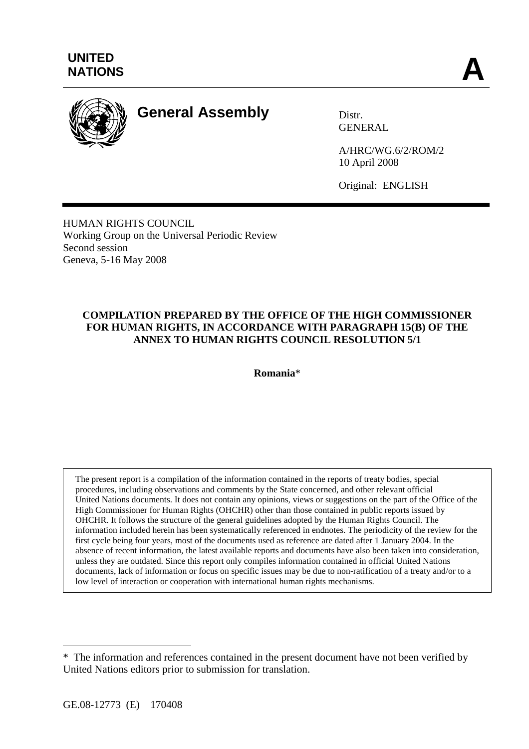

# **General Assembly** Distr.

GENERAL

A/HRC/WG.6/2/ROM/2 10 April 2008

Original: ENGLISH

HUMAN RIGHTS COUNCIL Working Group on the Universal Periodic Review Second session Geneva, 5-16 May 2008

# **COMPILATION PREPARED BY THE OFFICE OF THE HIGH COMMISSIONER FOR HUMAN RIGHTS, IN ACCORDANCE WITH PARAGRAPH 15(B) OF THE ANNEX TO HUMAN RIGHTS COUNCIL RESOLUTION 5/1**

**Romania**\*

The present report is a compilation of the information contained in the reports of treaty bodies, special procedures, including observations and comments by the State concerned, and other relevant official United Nations documents. It does not contain any opinions, views or suggestions on the part of the Office of the High Commissioner for Human Rights (OHCHR) other than those contained in public reports issued by OHCHR. It follows the structure of the general guidelines adopted by the Human Rights Council. The information included herein has been systematically referenced in endnotes. The periodicity of the review for the first cycle being four years, most of the documents used as reference are dated after 1 January 2004. In the absence of recent information, the latest available reports and documents have also been taken into consideration, unless they are outdated. Since this report only compiles information contained in official United Nations documents, lack of information or focus on specific issues may be due to non-ratification of a treaty and/or to a low level of interaction or cooperation with international human rights mechanisms.

 $\overline{a}$ 

<sup>\*</sup> The information and references contained in the present document have not been verified by United Nations editors prior to submission for translation.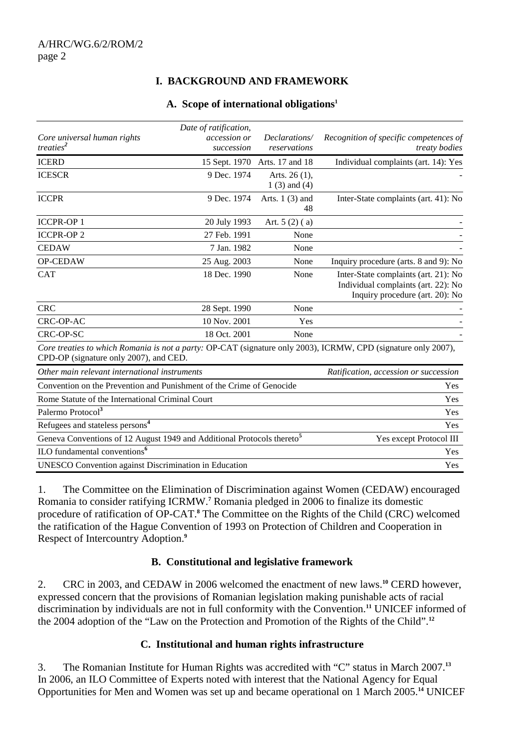# **I. BACKGROUND AND FRAMEWORK**

#### **A. Scope of international obligations1**

|                                                                                                                                                          | Date of ratification, |                        |                                                                                                                |
|----------------------------------------------------------------------------------------------------------------------------------------------------------|-----------------------|------------------------|----------------------------------------------------------------------------------------------------------------|
| Core universal human rights                                                                                                                              | accession or          | Declarations/          | Recognition of specific competences of                                                                         |
| treaties <sup>2</sup>                                                                                                                                    | succession            | reservations           | treaty bodies                                                                                                  |
| <b>ICERD</b>                                                                                                                                             | 15 Sept. 1970         | Arts. 17 and 18        | Individual complaints (art. 14): Yes                                                                           |
| <b>ICESCR</b>                                                                                                                                            | 9 Dec. 1974           | Arts. 26 (1),          |                                                                                                                |
|                                                                                                                                                          |                       | $1(3)$ and $(4)$       |                                                                                                                |
| <b>ICCPR</b>                                                                                                                                             | 9 Dec. 1974           | Arts. $1(3)$ and<br>48 | Inter-State complaints (art. 41): No                                                                           |
| <b>ICCPR-OP1</b>                                                                                                                                         | 20 July 1993          | Art. $5(2)(a)$         |                                                                                                                |
| <b>ICCPR-OP 2</b>                                                                                                                                        | 27 Feb. 1991          | None                   |                                                                                                                |
| <b>CEDAW</b>                                                                                                                                             | 7 Jan. 1982           | None                   |                                                                                                                |
| <b>OP-CEDAW</b>                                                                                                                                          | 25 Aug. 2003          | None                   | Inquiry procedure (arts. 8 and 9): No                                                                          |
| <b>CAT</b>                                                                                                                                               | 18 Dec. 1990          | None                   | Inter-State complaints (art. 21): No<br>Individual complaints (art. 22): No<br>Inquiry procedure (art. 20): No |
| <b>CRC</b>                                                                                                                                               | 28 Sept. 1990         | None                   |                                                                                                                |
| CRC-OP-AC                                                                                                                                                | 10 Nov. 2001          | Yes                    |                                                                                                                |
| <b>CRC-OP-SC</b>                                                                                                                                         | 18 Oct. 2001          | None                   |                                                                                                                |
| Core treaties to which Romania is not a party: OP-CAT (signature only 2003), ICRMW, CPD (signature only 2007),<br>CPD-OP (signature only 2007), and CED. |                       |                        |                                                                                                                |
| Other main relevant international instruments                                                                                                            |                       |                        | Ratification, accession or succession                                                                          |
| Convention on the Prevention and Punishment of the Crime of Genocide                                                                                     |                       |                        | Yes                                                                                                            |
| Rome Statute of the International Criminal Court                                                                                                         |                       |                        | Yes                                                                                                            |
| Palermo Protocol <sup>3</sup>                                                                                                                            |                       |                        | Yes                                                                                                            |
| Refugees and stateless persons <sup>4</sup>                                                                                                              |                       |                        | Yes                                                                                                            |
| Geneva Conventions of 12 August 1949 and Additional Protocols thereto <sup>5</sup>                                                                       |                       |                        | Yes except Protocol III                                                                                        |
| ILO fundamental conventions <sup>6</sup>                                                                                                                 |                       |                        | Yes                                                                                                            |
| UNESCO Convention against Discrimination in Education                                                                                                    |                       |                        | Yes                                                                                                            |

1. The Committee on the Elimination of Discrimination against Women (CEDAW) encouraged Romania to consider ratifying ICRMW.**<sup>7</sup>** Romania pledged in 2006 to finalize its domestic procedure of ratification of OP-CAT.<sup>8</sup> The Committee on the Rights of the Child (CRC) welcomed the ratification of the Hague Convention of 1993 on Protection of Children and Cooperation in Respect of Intercountry Adoption.**<sup>9</sup>**

#### **B. Constitutional and legislative framework**

2. CRC in 2003, and CEDAW in 2006 welcomed the enactment of new laws.**<sup>10</sup>** CERD however, expressed concern that the provisions of Romanian legislation making punishable acts of racial discrimination by individuals are not in full conformity with the Convention.**<sup>11</sup>** UNICEF informed of the 2004 adoption of the "Law on the Protection and Promotion of the Rights of the Child".**<sup>12</sup>**

#### **C. Institutional and human rights infrastructure**

3. The Romanian Institute for Human Rights was accredited with "C" status in March 2007.**<sup>13</sup>** In 2006, an ILO Committee of Experts noted with interest that the National Agency for Equal Opportunities for Men and Women was set up and became operational on 1 March 2005.**14** UNICEF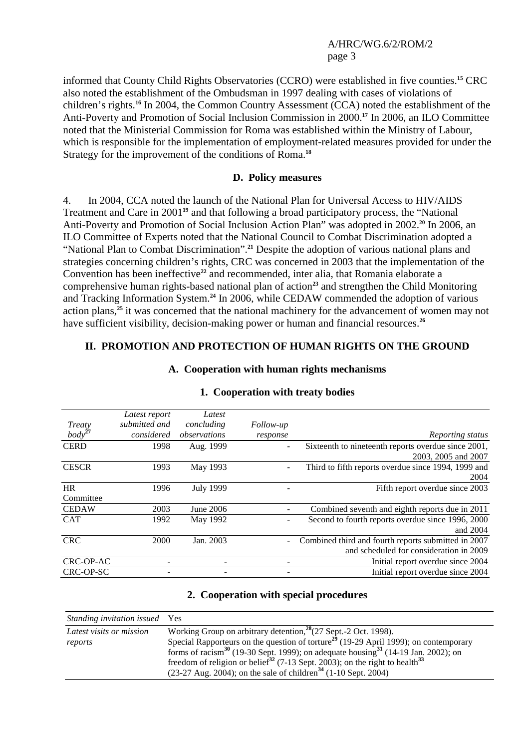informed that County Child Rights Observatories (CCRO) were established in five counties.**<sup>15</sup>** CRC also noted the establishment of the Ombudsman in 1997 dealing with cases of violations of children's rights.**<sup>16</sup>** In 2004, the Common Country Assessment (CCA) noted the establishment of the Anti-Poverty and Promotion of Social Inclusion Commission in 2000.**<sup>17</sup>** In 2006, an ILO Committee noted that the Ministerial Commission for Roma was established within the Ministry of Labour, which is responsible for the implementation of employment-related measures provided for under the Strategy for the improvement of the conditions of Roma.**<sup>18</sup>**

#### **D. Policy measures**

4. In 2004, CCA noted the launch of the National Plan for Universal Access to HIV/AIDS Treatment and Care in 2001**<sup>19</sup>** and that following a broad participatory process, the "National Anti-Poverty and Promotion of Social Inclusion Action Plan" was adopted in 2002.**<sup>20</sup>** In 2006, an ILO Committee of Experts noted that the National Council to Combat Discrimination adopted a "National Plan to Combat Discrimination".**<sup>21</sup>** Despite the adoption of various national plans and strategies concerning children's rights, CRC was concerned in 2003 that the implementation of the Convention has been ineffective<sup>22</sup> and recommended, inter alia, that Romania elaborate a comprehensive human rights-based national plan of action**<sup>23</sup>** and strengthen the Child Monitoring and Tracking Information System.**<sup>24</sup>** In 2006, while CEDAW commended the adoption of various action plans,**<sup>25</sup>** it was concerned that the national machinery for the advancement of women may not have sufficient visibility, decision-making power or human and financial resources.**<sup>26</sup>**

#### **II. PROMOTION AND PROTECTION OF HUMAN RIGHTS ON THE GROUND**

**A. Cooperation with human rights mechanisms** 

|              | Latest report | Latest           |                  |                                                     |
|--------------|---------------|------------------|------------------|-----------------------------------------------------|
| Treaty       | submitted and | concluding       | <i>Follow-up</i> |                                                     |
| $body^{27}$  | considered    | observations     | response         | Reporting status                                    |
| <b>CERD</b>  | 1998          | Aug. 1999        |                  | Sixteenth to nineteenth reports overdue since 2001, |
|              |               |                  |                  | 2003, 2005 and 2007                                 |
| <b>CESCR</b> | 1993          | May 1993         |                  | Third to fifth reports overdue since 1994, 1999 and |
|              |               |                  |                  | 2004                                                |
| <b>HR</b>    | 1996          | <b>July 1999</b> |                  | Fifth report overdue since 2003                     |
| Committee    |               |                  |                  |                                                     |
| <b>CEDAW</b> | 2003          | June 2006        |                  | Combined seventh and eighth reports due in 2011     |
| <b>CAT</b>   | 1992          | May 1992         |                  | Second to fourth reports overdue since 1996, 2000   |
|              |               |                  |                  | and 2004                                            |
| <b>CRC</b>   | 2000          | Jan. 2003        | $\overline{a}$   | Combined third and fourth reports submitted in 2007 |
|              |               |                  |                  | and scheduled for consideration in 2009             |
| CRC-OP-AC    |               |                  |                  | Initial report overdue since 2004                   |
| CRC-OP-SC    |               |                  |                  | Initial report overdue since 2004                   |

#### **1. Cooperation with treaty bodies**

#### **2. Cooperation with special procedures**

| Standing invitation issued Yes |                                                                                                           |
|--------------------------------|-----------------------------------------------------------------------------------------------------------|
| Latest visits or mission       | Working Group on arbitrary detention, $28(27$ Sept.-2 Oct. 1998).                                         |
| reports                        | Special Rapporteurs on the question of torture <sup>29</sup> (19-29 April 1999); on contemporary          |
|                                | forms of racism <sup>30</sup> (19-30 Sept. 1999); on adequate housing <sup>31</sup> (14-19 Jan. 2002); on |
|                                | freedom of religion or belief <sup>32</sup> (7-13 Sept. 2003); on the right to health <sup>33</sup>       |
|                                | $(23-27 \text{ Aug. } 2004)$ ; on the sale of children <sup>34</sup> $(1-10 \text{ Sept. } 2004)$         |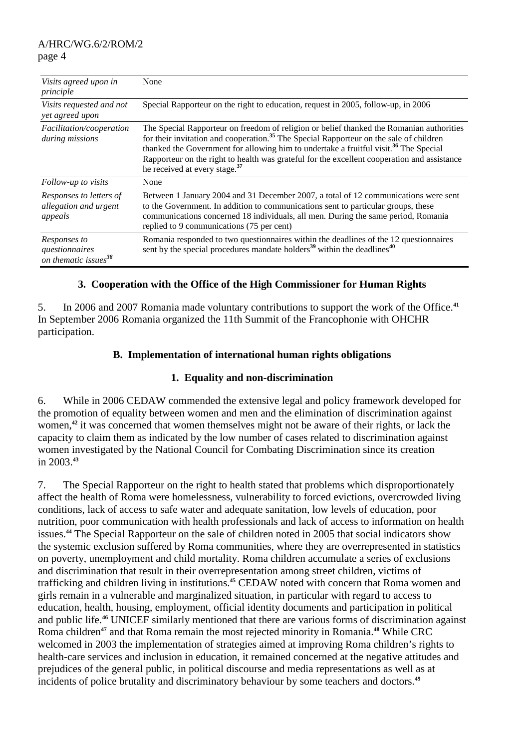| Visits agreed upon in<br>principle                          | None                                                                                                                                                                                                                                                                                                                                                                                                                                           |
|-------------------------------------------------------------|------------------------------------------------------------------------------------------------------------------------------------------------------------------------------------------------------------------------------------------------------------------------------------------------------------------------------------------------------------------------------------------------------------------------------------------------|
| Visits requested and not<br>yet agreed upon                 | Special Rapporteur on the right to education, request in 2005, follow-up, in 2006                                                                                                                                                                                                                                                                                                                                                              |
| Facilitation/cooperation<br>during missions                 | The Special Rapporteur on freedom of religion or belief thanked the Romanian authorities<br>for their invitation and cooperation. <sup>35</sup> The Special Rapporteur on the sale of children<br>thanked the Government for allowing him to undertake a fruitful visit. <sup>36</sup> The Special<br>Rapporteur on the right to health was grateful for the excellent cooperation and assistance<br>he received at every stage. <sup>37</sup> |
| Follow-up to visits                                         | None                                                                                                                                                                                                                                                                                                                                                                                                                                           |
| Responses to letters of<br>allegation and urgent<br>appeals | Between 1 January 2004 and 31 December 2007, a total of 12 communications were sent<br>to the Government. In addition to communications sent to particular groups, these<br>communications concerned 18 individuals, all men. During the same period, Romania<br>replied to 9 communications (75 per cent)                                                                                                                                     |
| Responses to<br>questionnaires<br>on thematic issues $38$   | Romania responded to two questionnaires within the deadlines of the 12 questionnaires<br>sent by the special procedures mandate holders <sup>39</sup> within the deadlines <sup>40</sup>                                                                                                                                                                                                                                                       |

## **3. Cooperation with the Office of the High Commissioner for Human Rights**

5. In 2006 and 2007 Romania made voluntary contributions to support the work of the Office.**<sup>41</sup>** In September 2006 Romania organized the 11th Summit of the Francophonie with OHCHR participation.

## **B. Implementation of international human rights obligations**

#### **1. Equality and non-discrimination**

6. While in 2006 CEDAW commended the extensive legal and policy framework developed for the promotion of equality between women and men and the elimination of discrimination against women,<sup>42</sup> it was concerned that women themselves might not be aware of their rights, or lack the capacity to claim them as indicated by the low number of cases related to discrimination against women investigated by the National Council for Combating Discrimination since its creation in 2003.**<sup>43</sup>**

7. The Special Rapporteur on the right to health stated that problems which disproportionately affect the health of Roma were homelessness, vulnerability to forced evictions, overcrowded living conditions, lack of access to safe water and adequate sanitation, low levels of education, poor nutrition, poor communication with health professionals and lack of access to information on health issues.**<sup>44</sup>** The Special Rapporteur on the sale of children noted in 2005 that social indicators show the systemic exclusion suffered by Roma communities, where they are overrepresented in statistics on poverty, unemployment and child mortality. Roma children accumulate a series of exclusions and discrimination that result in their overrepresentation among street children, victims of trafficking and children living in institutions.**<sup>45</sup>** CEDAW noted with concern that Roma women and girls remain in a vulnerable and marginalized situation, in particular with regard to access to education, health, housing, employment, official identity documents and participation in political and public life.**<sup>46</sup>** UNICEF similarly mentioned that there are various forms of discrimination against Roma children**<sup>47</sup>** and that Roma remain the most rejected minority in Romania.**<sup>48</sup>** While CRC welcomed in 2003 the implementation of strategies aimed at improving Roma children's rights to health-care services and inclusion in education, it remained concerned at the negative attitudes and prejudices of the general public, in political discourse and media representations as well as at incidents of police brutality and discriminatory behaviour by some teachers and doctors.**49**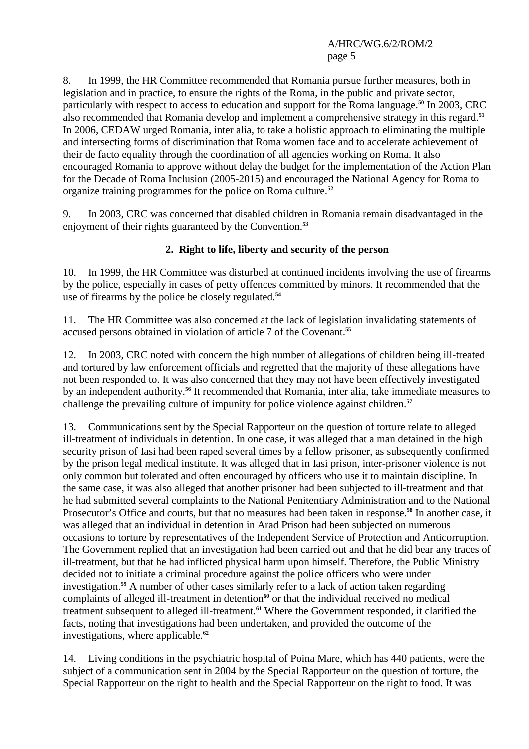8. In 1999, the HR Committee recommended that Romania pursue further measures, both in legislation and in practice, to ensure the rights of the Roma, in the public and private sector, particularly with respect to access to education and support for the Roma language.**<sup>50</sup>** In 2003, CRC also recommended that Romania develop and implement a comprehensive strategy in this regard.**<sup>51</sup>** In 2006, CEDAW urged Romania, inter alia, to take a holistic approach to eliminating the multiple and intersecting forms of discrimination that Roma women face and to accelerate achievement of their de facto equality through the coordination of all agencies working on Roma. It also encouraged Romania to approve without delay the budget for the implementation of the Action Plan for the Decade of Roma Inclusion (2005-2015) and encouraged the National Agency for Roma to organize training programmes for the police on Roma culture.**<sup>52</sup>**

9. In 2003, CRC was concerned that disabled children in Romania remain disadvantaged in the enjoyment of their rights guaranteed by the Convention.**<sup>53</sup>**

# **2. Right to life, liberty and security of the person**

10. In 1999, the HR Committee was disturbed at continued incidents involving the use of firearms by the police, especially in cases of petty offences committed by minors. It recommended that the use of firearms by the police be closely regulated.**<sup>54</sup>**

11. The HR Committee was also concerned at the lack of legislation invalidating statements of accused persons obtained in violation of article 7 of the Covenant.**<sup>55</sup>**

12. In 2003, CRC noted with concern the high number of allegations of children being ill-treated and tortured by law enforcement officials and regretted that the majority of these allegations have not been responded to. It was also concerned that they may not have been effectively investigated by an independent authority.**<sup>56</sup>** It recommended that Romania, inter alia, take immediate measures to challenge the prevailing culture of impunity for police violence against children.**<sup>57</sup>**

13. Communications sent by the Special Rapporteur on the question of torture relate to alleged ill-treatment of individuals in detention. In one case, it was alleged that a man detained in the high security prison of Iasi had been raped several times by a fellow prisoner, as subsequently confirmed by the prison legal medical institute. It was alleged that in Iasi prison, inter-prisoner violence is not only common but tolerated and often encouraged by officers who use it to maintain discipline. In the same case, it was also alleged that another prisoner had been subjected to ill-treatment and that he had submitted several complaints to the National Penitentiary Administration and to the National Prosecutor's Office and courts, but that no measures had been taken in response.**<sup>58</sup>** In another case, it was alleged that an individual in detention in Arad Prison had been subjected on numerous occasions to torture by representatives of the Independent Service of Protection and Anticorruption. The Government replied that an investigation had been carried out and that he did bear any traces of ill-treatment, but that he had inflicted physical harm upon himself. Therefore, the Public Ministry decided not to initiate a criminal procedure against the police officers who were under investigation.**<sup>59</sup>** A number of other cases similarly refer to a lack of action taken regarding complaints of alleged ill-treatment in detention<sup>60</sup> or that the individual received no medical treatment subsequent to alleged ill-treatment.**<sup>61</sup>** Where the Government responded, it clarified the facts, noting that investigations had been undertaken, and provided the outcome of the investigations, where applicable.**<sup>62</sup>**

14. Living conditions in the psychiatric hospital of Poina Mare, which has 440 patients, were the subject of a communication sent in 2004 by the Special Rapporteur on the question of torture, the Special Rapporteur on the right to health and the Special Rapporteur on the right to food. It was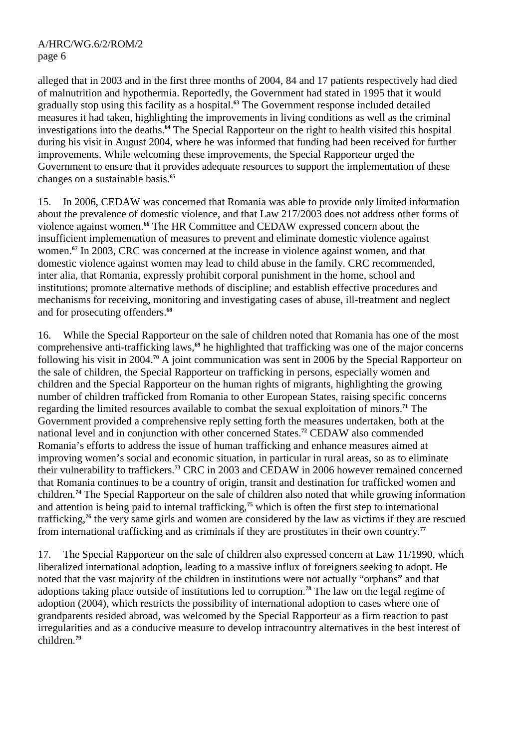alleged that in 2003 and in the first three months of 2004, 84 and 17 patients respectively had died of malnutrition and hypothermia. Reportedly, the Government had stated in 1995 that it would gradually stop using this facility as a hospital.**<sup>63</sup>** The Government response included detailed measures it had taken, highlighting the improvements in living conditions as well as the criminal investigations into the deaths.**<sup>64</sup>** The Special Rapporteur on the right to health visited this hospital during his visit in August 2004, where he was informed that funding had been received for further improvements. While welcoming these improvements, the Special Rapporteur urged the Government to ensure that it provides adequate resources to support the implementation of these changes on a sustainable basis.**<sup>65</sup>**

15. In 2006, CEDAW was concerned that Romania was able to provide only limited information about the prevalence of domestic violence, and that Law 217/2003 does not address other forms of violence against women.**<sup>66</sup>** The HR Committee and CEDAW expressed concern about the insufficient implementation of measures to prevent and eliminate domestic violence against women.**<sup>67</sup>** In 2003, CRC was concerned at the increase in violence against women, and that domestic violence against women may lead to child abuse in the family. CRC recommended, inter alia, that Romania, expressly prohibit corporal punishment in the home, school and institutions; promote alternative methods of discipline; and establish effective procedures and mechanisms for receiving, monitoring and investigating cases of abuse, ill-treatment and neglect and for prosecuting offenders.**<sup>68</sup>**

16. While the Special Rapporteur on the sale of children noted that Romania has one of the most comprehensive anti-trafficking laws,**<sup>69</sup>** he highlighted that trafficking was one of the major concerns following his visit in 2004.**<sup>70</sup>** A joint communication was sent in 2006 by the Special Rapporteur on the sale of children, the Special Rapporteur on trafficking in persons, especially women and children and the Special Rapporteur on the human rights of migrants, highlighting the growing number of children trafficked from Romania to other European States, raising specific concerns regarding the limited resources available to combat the sexual exploitation of minors.**<sup>71</sup>** The Government provided a comprehensive reply setting forth the measures undertaken, both at the national level and in conjunction with other concerned States.**<sup>72</sup>** CEDAW also commended Romania's efforts to address the issue of human trafficking and enhance measures aimed at improving women's social and economic situation, in particular in rural areas, so as to eliminate their vulnerability to traffickers.**<sup>73</sup>** CRC in 2003 and CEDAW in 2006 however remained concerned that Romania continues to be a country of origin, transit and destination for trafficked women and children.**<sup>74</sup>** The Special Rapporteur on the sale of children also noted that while growing information and attention is being paid to internal trafficking,<sup> $75$ </sup> which is often the first step to international trafficking,**<sup>76</sup>** the very same girls and women are considered by the law as victims if they are rescued from international trafficking and as criminals if they are prostitutes in their own country.**<sup>77</sup>**

17. The Special Rapporteur on the sale of children also expressed concern at Law 11/1990, which liberalized international adoption, leading to a massive influx of foreigners seeking to adopt. He noted that the vast majority of the children in institutions were not actually "orphans" and that adoptions taking place outside of institutions led to corruption.**<sup>78</sup>** The law on the legal regime of adoption (2004), which restricts the possibility of international adoption to cases where one of grandparents resided abroad, was welcomed by the Special Rapporteur as a firm reaction to past irregularities and as a conducive measure to develop intracountry alternatives in the best interest of children.**79**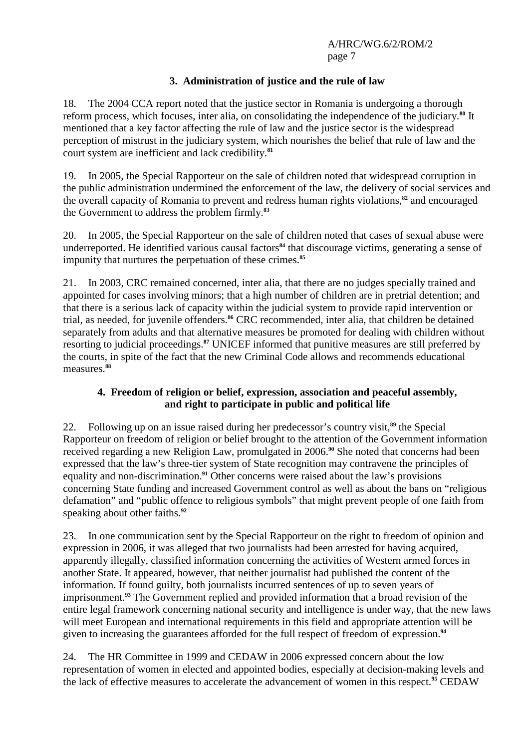# **3. Administration of justice and the rule of law**

18. The 2004 CCA report noted that the justice sector in Romania is undergoing a thorough reform process, which focuses, inter alia, on consolidating the independence of the judiciary.**<sup>80</sup>** It mentioned that a key factor affecting the rule of law and the justice sector is the widespread perception of mistrust in the judiciary system, which nourishes the belief that rule of law and the court system are inefficient and lack credibility.**<sup>81</sup>**

19. In 2005, the Special Rapporteur on the sale of children noted that widespread corruption in the public administration undermined the enforcement of the law, the delivery of social services and the overall capacity of Romania to prevent and redress human rights violations,**<sup>82</sup>** and encouraged the Government to address the problem firmly.**<sup>83</sup>**

20. In 2005, the Special Rapporteur on the sale of children noted that cases of sexual abuse were underreported. He identified various causal factors<sup>84</sup> that discourage victims, generating a sense of impunity that nurtures the perpetuation of these crimes.**<sup>85</sup>**

21. In 2003, CRC remained concerned, inter alia, that there are no judges specially trained and appointed for cases involving minors; that a high number of children are in pretrial detention; and that there is a serious lack of capacity within the judicial system to provide rapid intervention or trial, as needed, for juvenile offenders.**<sup>86</sup>** CRC recommended, inter alia, that children be detained separately from adults and that alternative measures be promoted for dealing with children without resorting to judicial proceedings.**<sup>87</sup>** UNICEF informed that punitive measures are still preferred by the courts, in spite of the fact that the new Criminal Code allows and recommends educational measures.**<sup>88</sup>**

## **4. Freedom of religion or belief, expression, association and peaceful assembly, and right to participate in public and political life**

22. Following up on an issue raised during her predecessor's country visit,**<sup>89</sup>** the Special Rapporteur on freedom of religion or belief brought to the attention of the Government information received regarding a new Religion Law, promulgated in 2006.**<sup>90</sup>** She noted that concerns had been expressed that the law's three-tier system of State recognition may contravene the principles of equality and non-discrimination.**<sup>91</sup>** Other concerns were raised about the law's provisions concerning State funding and increased Government control as well as about the bans on "religious defamation" and "public offence to religious symbols" that might prevent people of one faith from speaking about other faiths.**<sup>92</sup>**

23. In one communication sent by the Special Rapporteur on the right to freedom of opinion and expression in 2006, it was alleged that two journalists had been arrested for having acquired, apparently illegally, classified information concerning the activities of Western armed forces in another State. It appeared, however, that neither journalist had published the content of the information. If found guilty, both journalists incurred sentences of up to seven years of imprisonment.**<sup>93</sup>** The Government replied and provided information that a broad revision of the entire legal framework concerning national security and intelligence is under way, that the new laws will meet European and international requirements in this field and appropriate attention will be given to increasing the guarantees afforded for the full respect of freedom of expression.**<sup>94</sup>**

24. The HR Committee in 1999 and CEDAW in 2006 expressed concern about the low representation of women in elected and appointed bodies, especially at decision-making levels and the lack of effective measures to accelerate the advancement of women in this respect.**95** CEDAW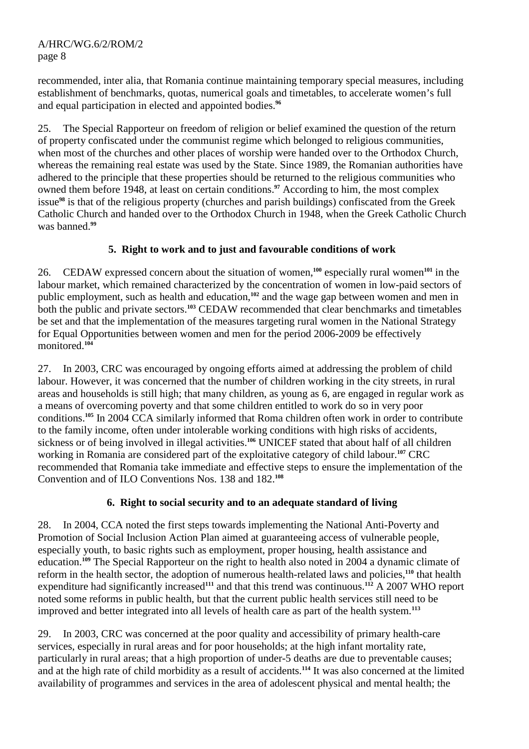recommended, inter alia, that Romania continue maintaining temporary special measures, including establishment of benchmarks, quotas, numerical goals and timetables, to accelerate women's full and equal participation in elected and appointed bodies.**<sup>96</sup>**

25. The Special Rapporteur on freedom of religion or belief examined the question of the return of property confiscated under the communist regime which belonged to religious communities, when most of the churches and other places of worship were handed over to the Orthodox Church, whereas the remaining real estate was used by the State. Since 1989, the Romanian authorities have adhered to the principle that these properties should be returned to the religious communities who owned them before 1948, at least on certain conditions.<sup>97</sup> According to him, the most complex issue**<sup>98</sup>** is that of the religious property (churches and parish buildings) confiscated from the Greek Catholic Church and handed over to the Orthodox Church in 1948, when the Greek Catholic Church was banned.**<sup>99</sup>**

# **5. Right to work and to just and favourable conditions of work**

26. CEDAW expressed concern about the situation of women,**<sup>100</sup>** especially rural women**<sup>101</sup>** in the labour market, which remained characterized by the concentration of women in low-paid sectors of public employment, such as health and education,**<sup>102</sup>** and the wage gap between women and men in both the public and private sectors.**<sup>103</sup>** CEDAW recommended that clear benchmarks and timetables be set and that the implementation of the measures targeting rural women in the National Strategy for Equal Opportunities between women and men for the period 2006-2009 be effectively monitored.**<sup>104</sup>**

27. In 2003, CRC was encouraged by ongoing efforts aimed at addressing the problem of child labour. However, it was concerned that the number of children working in the city streets, in rural areas and households is still high; that many children, as young as 6, are engaged in regular work as a means of overcoming poverty and that some children entitled to work do so in very poor conditions.**<sup>105</sup>** In 2004 CCA similarly informed that Roma children often work in order to contribute to the family income, often under intolerable working conditions with high risks of accidents, sickness or of being involved in illegal activities.<sup>106</sup> UNICEF stated that about half of all children working in Romania are considered part of the exploitative category of child labour.**<sup>107</sup>** CRC recommended that Romania take immediate and effective steps to ensure the implementation of the Convention and of ILO Conventions Nos. 138 and 182.**<sup>108</sup>**

## **6. Right to social security and to an adequate standard of living**

28. In 2004, CCA noted the first steps towards implementing the National Anti-Poverty and Promotion of Social Inclusion Action Plan aimed at guaranteeing access of vulnerable people, especially youth, to basic rights such as employment, proper housing, health assistance and education.**<sup>109</sup>** The Special Rapporteur on the right to health also noted in 2004 a dynamic climate of reform in the health sector, the adoption of numerous health-related laws and policies,**<sup>110</sup>** that health expenditure had significantly increased**<sup>111</sup>** and that this trend was continuous.**<sup>112</sup>** A 2007 WHO report noted some reforms in public health, but that the current public health services still need to be improved and better integrated into all levels of health care as part of the health system.**<sup>113</sup>**

29. In 2003, CRC was concerned at the poor quality and accessibility of primary health-care services, especially in rural areas and for poor households; at the high infant mortality rate, particularly in rural areas; that a high proportion of under-5 deaths are due to preventable causes; and at the high rate of child morbidity as a result of accidents.**<sup>114</sup>** It was also concerned at the limited availability of programmes and services in the area of adolescent physical and mental health; the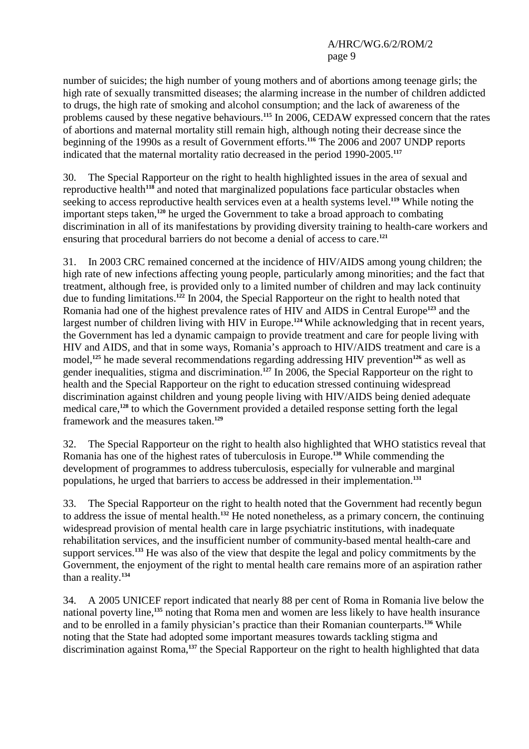number of suicides; the high number of young mothers and of abortions among teenage girls; the high rate of sexually transmitted diseases; the alarming increase in the number of children addicted to drugs, the high rate of smoking and alcohol consumption; and the lack of awareness of the problems caused by these negative behaviours.**<sup>115</sup>** In 2006, CEDAW expressed concern that the rates of abortions and maternal mortality still remain high, although noting their decrease since the beginning of the 1990s as a result of Government efforts.**<sup>116</sup>** The 2006 and 2007 UNDP reports indicated that the maternal mortality ratio decreased in the period 1990-2005.**<sup>117</sup>**

30. The Special Rapporteur on the right to health highlighted issues in the area of sexual and reproductive health**<sup>118</sup>** and noted that marginalized populations face particular obstacles when seeking to access reproductive health services even at a health systems level.**<sup>119</sup>** While noting the important steps taken,**<sup>120</sup>** he urged the Government to take a broad approach to combating discrimination in all of its manifestations by providing diversity training to health-care workers and ensuring that procedural barriers do not become a denial of access to care.**<sup>121</sup>**

31. In 2003 CRC remained concerned at the incidence of HIV/AIDS among young children; the high rate of new infections affecting young people, particularly among minorities; and the fact that treatment, although free, is provided only to a limited number of children and may lack continuity due to funding limitations.**<sup>122</sup>** In 2004, the Special Rapporteur on the right to health noted that Romania had one of the highest prevalence rates of HIV and AIDS in Central Europe**<sup>123</sup>** and the largest number of children living with HIV in Europe.**<sup>124</sup>** While acknowledging that in recent years, the Government has led a dynamic campaign to provide treatment and care for people living with HIV and AIDS, and that in some ways, Romania's approach to HIV/AIDS treatment and care is a model,**<sup>125</sup>** he made several recommendations regarding addressing HIV prevention**<sup>126</sup>** as well as gender inequalities, stigma and discrimination.**<sup>127</sup>** In 2006, the Special Rapporteur on the right to health and the Special Rapporteur on the right to education stressed continuing widespread discrimination against children and young people living with HIV/AIDS being denied adequate medical care,**<sup>128</sup>** to which the Government provided a detailed response setting forth the legal framework and the measures taken.**<sup>129</sup>**

32. The Special Rapporteur on the right to health also highlighted that WHO statistics reveal that Romania has one of the highest rates of tuberculosis in Europe.**<sup>130</sup>** While commending the development of programmes to address tuberculosis, especially for vulnerable and marginal populations, he urged that barriers to access be addressed in their implementation.**<sup>131</sup>**

33. The Special Rapporteur on the right to health noted that the Government had recently begun to address the issue of mental health.**<sup>132</sup>** He noted nonetheless, as a primary concern, the continuing widespread provision of mental health care in large psychiatric institutions, with inadequate rehabilitation services, and the insufficient number of community-based mental health-care and support services.**<sup>133</sup>** He was also of the view that despite the legal and policy commitments by the Government, the enjoyment of the right to mental health care remains more of an aspiration rather than a reality.**<sup>134</sup>**

34. A 2005 UNICEF report indicated that nearly 88 per cent of Roma in Romania live below the national poverty line,**<sup>135</sup>** noting that Roma men and women are less likely to have health insurance and to be enrolled in a family physician's practice than their Romanian counterparts.**<sup>136</sup>** While noting that the State had adopted some important measures towards tackling stigma and discrimination against Roma,**137** the Special Rapporteur on the right to health highlighted that data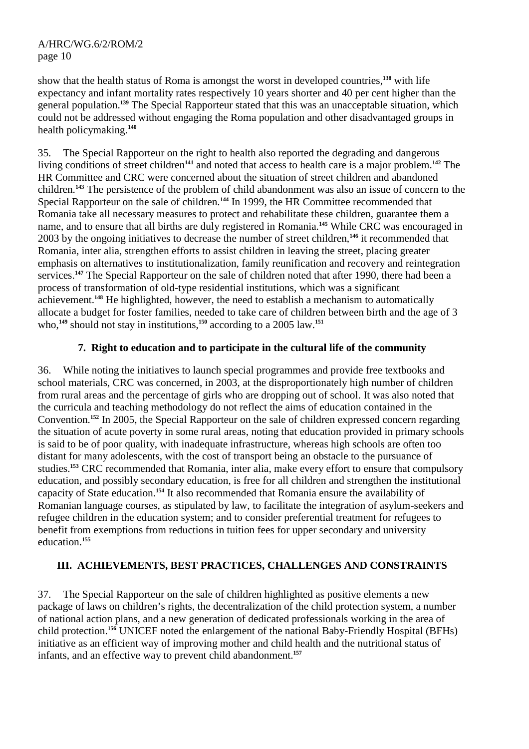show that the health status of Roma is amongst the worst in developed countries,**<sup>138</sup>** with life expectancy and infant mortality rates respectively 10 years shorter and 40 per cent higher than the general population.**<sup>139</sup>** The Special Rapporteur stated that this was an unacceptable situation, which could not be addressed without engaging the Roma population and other disadvantaged groups in health policymaking.**<sup>140</sup>**

35. The Special Rapporteur on the right to health also reported the degrading and dangerous living conditions of street children**<sup>141</sup>** and noted that access to health care is a major problem.**<sup>142</sup>** The HR Committee and CRC were concerned about the situation of street children and abandoned children.**<sup>143</sup>** The persistence of the problem of child abandonment was also an issue of concern to the Special Rapporteur on the sale of children.<sup>144</sup> In 1999, the HR Committee recommended that Romania take all necessary measures to protect and rehabilitate these children, guarantee them a name, and to ensure that all births are duly registered in Romania.**<sup>145</sup>** While CRC was encouraged in 2003 by the ongoing initiatives to decrease the number of street children,**<sup>146</sup>** it recommended that Romania, inter alia*,* strengthen efforts to assist children in leaving the street, placing greater emphasis on alternatives to institutionalization, family reunification and recovery and reintegration services.<sup>147</sup> The Special Rapporteur on the sale of children noted that after 1990, there had been a process of transformation of old-type residential institutions, which was a significant achievement.**<sup>148</sup>** He highlighted, however, the need to establish a mechanism to automatically allocate a budget for foster families, needed to take care of children between birth and the age of 3 who,<sup>149</sup> should not stay in institutions,<sup>150</sup> according to a 2005 law.<sup>151</sup>

## **7. Right to education and to participate in the cultural life of the community**

36. While noting the initiatives to launch special programmes and provide free textbooks and school materials, CRC was concerned, in 2003, at the disproportionately high number of children from rural areas and the percentage of girls who are dropping out of school. It was also noted that the curricula and teaching methodology do not reflect the aims of education contained in the Convention.**<sup>152</sup>** In 2005, the Special Rapporteur on the sale of children expressed concern regarding the situation of acute poverty in some rural areas, noting that education provided in primary schools is said to be of poor quality, with inadequate infrastructure, whereas high schools are often too distant for many adolescents, with the cost of transport being an obstacle to the pursuance of studies.**<sup>153</sup>** CRC recommended that Romania, inter alia*,* make every effort to ensure that compulsory education, and possibly secondary education, is free for all children and strengthen the institutional capacity of State education.**<sup>154</sup>** It also recommended that Romania ensure the availability of Romanian language courses, as stipulated by law, to facilitate the integration of asylum-seekers and refugee children in the education system; and to consider preferential treatment for refugees to benefit from exemptions from reductions in tuition fees for upper secondary and university education.**<sup>155</sup>**

## **III. ACHIEVEMENTS, BEST PRACTICES, CHALLENGES AND CONSTRAINTS**

37. The Special Rapporteur on the sale of children highlighted as positive elements a new package of laws on children's rights, the decentralization of the child protection system, a number of national action plans, and a new generation of dedicated professionals working in the area of child protection.**<sup>156</sup>** UNICEF noted the enlargement of the national Baby-Friendly Hospital (BFHs) initiative as an efficient way of improving mother and child health and the nutritional status of infants, and an effective way to prevent child abandonment.**157**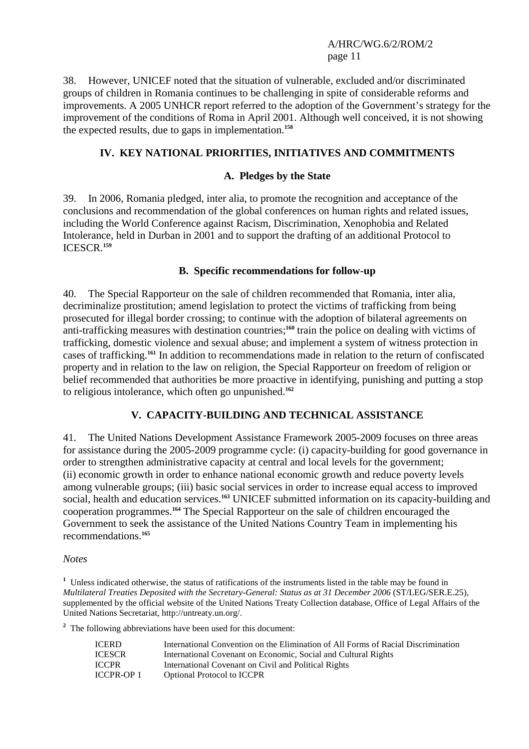38. However, UNICEF noted that the situation of vulnerable, excluded and/or discriminated groups of children in Romania continues to be challenging in spite of considerable reforms and improvements. A 2005 UNHCR report referred to the adoption of the Government's strategy for the improvement of the conditions of Roma in April 2001. Although well conceived, it is not showing the expected results, due to gaps in implementation.**<sup>158</sup>**

# **IV. KEY NATIONAL PRIORITIES, INITIATIVES AND COMMITMENTS**

## **A. Pledges by the State**

39. In 2006, Romania pledged, inter alia, to promote the recognition and acceptance of the conclusions and recommendation of the global conferences on human rights and related issues, including the World Conference against Racism, Discrimination, Xenophobia and Related Intolerance, held in Durban in 2001 and to support the drafting of an additional Protocol to ICESCR.**<sup>159</sup>**

## **B. Specific recommendations for follow-up**

40. The Special Rapporteur on the sale of children recommended that Romania, inter alia, decriminalize prostitution; amend legislation to protect the victims of trafficking from being prosecuted for illegal border crossing; to continue with the adoption of bilateral agreements on anti-trafficking measures with destination countries;**<sup>160</sup>** train the police on dealing with victims of trafficking, domestic violence and sexual abuse; and implement a system of witness protection in cases of trafficking.**<sup>161</sup>** In addition to recommendations made in relation to the return of confiscated property and in relation to the law on religion, the Special Rapporteur on freedom of religion or belief recommended that authorities be more proactive in identifying, punishing and putting a stop to religious intolerance, which often go unpunished.**<sup>162</sup>**

## **V. CAPACITY-BUILDING AND TECHNICAL ASSISTANCE**

41. The United Nations Development Assistance Framework 2005-2009 focuses on three areas for assistance during the 2005-2009 programme cycle: (i) capacity-building for good governance in order to strengthen administrative capacity at central and local levels for the government; (ii) economic growth in order to enhance national economic growth and reduce poverty levels among vulnerable groups; (iii) basic social services in order to increase equal access to improved social, health and education services.**<sup>163</sup>** UNICEF submitted information on its capacity-building and cooperation programmes.**<sup>164</sup>** The Special Rapporteur on the sale of children encouraged the Government to seek the assistance of the United Nations Country Team in implementing his recommendations.**<sup>165</sup>**

*Notes* 

<sup>1</sup> Unless indicated otherwise, the status of ratifications of the instruments listed in the table may be found in *Multilateral Treaties Deposited with the Secretary-General: Status as at 31 December 2006* (ST/LEG/SER.E.25), supplemented by the official website of the United Nations Treaty Collection database, Office of Legal Affairs of the United Nations Secretariat, http://untreaty.un.org/.

<sup>2</sup> The following abbreviations have been used for this document:

| <b>ICERD</b>      | International Convention on the Elimination of All Forms of Racial Discrimination |
|-------------------|-----------------------------------------------------------------------------------|
| <b>ICESCR</b>     | International Covenant on Economic, Social and Cultural Rights                    |
| <b>ICCPR</b>      | International Covenant on Civil and Political Rights                              |
| <b>ICCPR-OP 1</b> | <b>Optional Protocol to ICCPR</b>                                                 |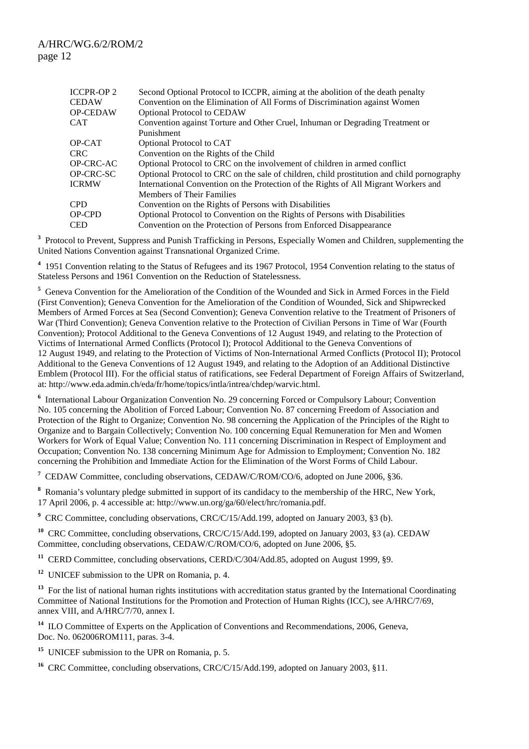| ICCPR-OP 2<br>CEDAW | Second Optional Protocol to ICCPR, aiming at the abolition of the death penalty<br>Convention on the Elimination of All Forms of Discrimination against Women |
|---------------------|---------------------------------------------------------------------------------------------------------------------------------------------------------------|
| OP-CEDAW            | <b>Optional Protocol to CEDAW</b>                                                                                                                             |
| CAT                 | Convention against Torture and Other Cruel, Inhuman or Degrading Treatment or                                                                                 |
|                     | Punishment                                                                                                                                                    |
| OP-CAT              | Optional Protocol to CAT                                                                                                                                      |
| CRC.                | Convention on the Rights of the Child                                                                                                                         |
| OP-CRC-AC           | Optional Protocol to CRC on the involvement of children in armed conflict                                                                                     |
| OP-CRC-SC           | Optional Protocol to CRC on the sale of children, child prostitution and child pornography                                                                    |
| ICRMW               | International Convention on the Protection of the Rights of All Migrant Workers and                                                                           |
|                     | Members of Their Families                                                                                                                                     |
| CPD                 | Convention on the Rights of Persons with Disabilities                                                                                                         |
| OP-CPD              | Optional Protocol to Convention on the Rights of Persons with Disabilities                                                                                    |
| CED                 | Convention on the Protection of Persons from Enforced Disappearance                                                                                           |

<sup>3</sup> Protocol to Prevent, Suppress and Punish Trafficking in Persons, Especially Women and Children, supplementing the United Nations Convention against Transnational Organized Crime.

<sup>4</sup> 1951 Convention relating to the Status of Refugees and its 1967 Protocol, 1954 Convention relating to the status of Stateless Persons and 1961 Convention on the Reduction of Statelessness.

<sup>5</sup> Geneva Convention for the Amelioration of the Condition of the Wounded and Sick in Armed Forces in the Field (First Convention); Geneva Convention for the Amelioration of the Condition of Wounded, Sick and Shipwrecked Members of Armed Forces at Sea (Second Convention); Geneva Convention relative to the Treatment of Prisoners of War (Third Convention); Geneva Convention relative to the Protection of Civilian Persons in Time of War (Fourth Convention); Protocol Additional to the Geneva Conventions of 12 August 1949, and relating to the Protection of Victims of International Armed Conflicts (Protocol I); Protocol Additional to the Geneva Conventions of 12 August 1949, and relating to the Protection of Victims of Non-International Armed Conflicts (Protocol II); Protocol Additional to the Geneva Conventions of 12 August 1949, and relating to the Adoption of an Additional Distinctive Emblem (Protocol III). For the official status of ratifications, see Federal Department of Foreign Affairs of Switzerland, at: http://www.eda.admin.ch/eda/fr/home/topics/intla/intrea/chdep/warvic.html.

<sup>6</sup> International Labour Organization Convention No. 29 concerning Forced or Compulsory Labour; Convention No. 105 concerning the Abolition of Forced Labour; Convention No. 87 concerning Freedom of Association and Protection of the Right to Organize; Convention No. 98 concerning the Application of the Principles of the Right to Organize and to Bargain Collectively; Convention No. 100 concerning Equal Remuneration for Men and Women Workers for Work of Equal Value; Convention No. 111 concerning Discrimination in Respect of Employment and Occupation; Convention No. 138 concerning Minimum Age for Admission to Employment; Convention No. 182 concerning the Prohibition and Immediate Action for the Elimination of the Worst Forms of Child Labour.

<sup>7</sup> CEDAW Committee, concluding observations, CEDAW/C/ROM/CO/6, adopted on June 2006, §36.

**8** Romania's voluntary pledge submitted in support of its candidacy to the membership of the HRC, New York, 17 April 2006, p. 4 accessible at: http://www.un.org/ga/60/elect/hrc/romania.pdf.

<sup>9</sup> CRC Committee, concluding observations, CRC/C/15/Add.199, adopted on January 2003, §3 (b).

<sup>10</sup> CRC Committee, concluding observations, CRC/C/15/Add.199, adopted on January 2003, §3 (a). CEDAW Committee, concluding observations, CEDAW/C/ROM/CO/6, adopted on June 2006, §5.

<sup>11</sup> CERD Committee, concluding observations, CERD/C/304/Add.85, adopted on August 1999, §9.

**<sup>12</sup>** UNICEF submission to the UPR on Romania, p. 4.

<sup>13</sup> For the list of national human rights institutions with accreditation status granted by the International Coordinating Committee of National Institutions for the Promotion and Protection of Human Rights (ICC), see A/HRC/7/69, annex VIII, and A/HRC/7/70, annex I.

<sup>14</sup> ILO Committee of Experts on the Application of Conventions and Recommendations, 2006. Geneva. Doc. No. 062006ROM111, paras. 3-4.

**<sup>15</sup>** UNICEF submission to the UPR on Romania, p. 5.

<sup>16</sup> CRC Committee, concluding observations, CRC/C/15/Add.199, adopted on January 2003, §11.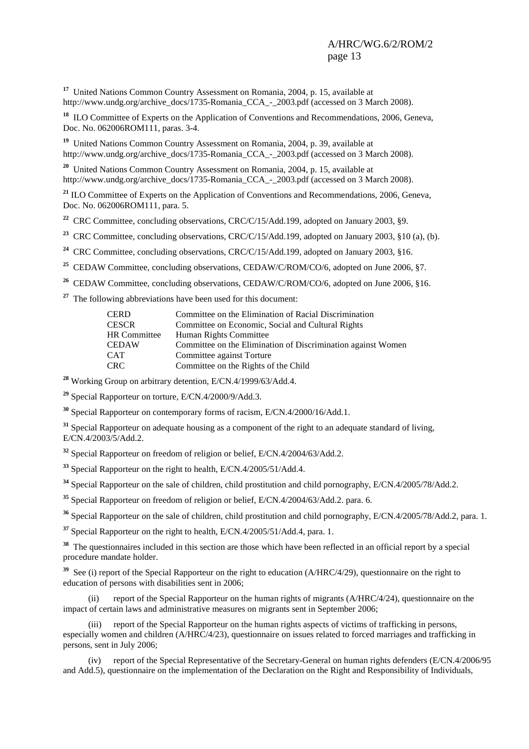**<sup>17</sup>** United Nations Common Country Assessment on Romania, 2004, p. 15, available at http://www.undg.org/archive\_docs/1735-Romania\_CCA\_-\_2003.pdf (accessed on 3 March 2008).

<sup>18</sup> ILO Committee of Experts on the Application of Conventions and Recommendations, 2006, Geneva. Doc. No. 062006ROM111, paras. 3-4.

**<sup>19</sup>** United Nations Common Country Assessment on Romania, 2004, p. 39, available at http://www.undg.org/archive\_docs/1735-Romania\_CCA\_-\_2003.pdf (accessed on 3 March 2008).

**<sup>20</sup>** United Nations Common Country Assessment on Romania, 2004, p. 15, available at http://www.undg.org/archive\_docs/1735-Romania\_CCA\_-\_2003.pdf (accessed on 3 March 2008).

<sup>21</sup> ILO Committee of Experts on the Application of Conventions and Recommendations, 2006, Geneva, Doc. No. 062006ROM111, para. 5.

<sup>22</sup> CRC Committee, concluding observations, CRC/C/15/Add.199, adopted on January 2003, §9.

<sup>23</sup> CRC Committee, concluding observations, CRC/C/15/Add.199, adopted on January 2003, §10 (a), (b).

<sup>24</sup> CRC Committee, concluding observations, CRC/C/15/Add, 199, adopted on January 2003, §16.

<sup>25</sup> CEDAW Committee, concluding observations, CEDAW/C/ROM/CO/6, adopted on June 2006, §7.

- <sup>26</sup> CEDAW Committee, concluding observations, CEDAW/C/ROM/CO/6, adopted on June 2006, §16.
- **<sup>27</sup>** The following abbreviations have been used for this document:

| <b>CERD</b>         | Committee on the Elimination of Racial Discrimination        |
|---------------------|--------------------------------------------------------------|
| <b>CESCR</b>        | Committee on Economic, Social and Cultural Rights            |
| <b>HR</b> Committee | Human Rights Committee                                       |
| <b>CEDAW</b>        | Committee on the Elimination of Discrimination against Women |
| <b>CAT</b>          | Committee against Torture                                    |
| <b>CRC</b>          | Committee on the Rights of the Child                         |
|                     |                                                              |

**<sup>28</sup>** Working Group on arbitrary detention, E/CN.4/1999/63/Add.4.

**<sup>29</sup>** Special Rapporteur on torture, E/CN.4/2000/9/Add.3.

**<sup>30</sup>** Special Rapporteur on contemporary forms of racism, E/CN.4/2000/16/Add.1.

**<sup>31</sup>** Special Rapporteur on adequate housing as a component of the right to an adequate standard of living, E/CN.4/2003/5/Add.2.

**<sup>32</sup>** Special Rapporteur on freedom of religion or belief, E/CN.4/2004/63/Add.2.

**<sup>33</sup>** Special Rapporteur on the right to health, E/CN.4/2005/51/Add.4.

**<sup>34</sup>** Special Rapporteur on the sale of children, child prostitution and child pornography, E/CN.4/2005/78/Add.2.

**<sup>35</sup>** Special Rapporteur on freedom of religion or belief, E/CN.4/2004/63/Add.2. para. 6.

**<sup>36</sup>** Special Rapporteur on the sale of children, child prostitution and child pornography, E/CN.4/2005/78/Add.2, para. 1.

**<sup>37</sup>** Special Rapporteur on the right to health, E/CN.4/2005/51/Add.4, para. 1.

<sup>38</sup> The questionnaires included in this section are those which have been reflected in an official report by a special procedure mandate holder.

<sup>39</sup> See (i) report of the Special Rapporteur on the right to education (A/HRC/4/29), questionnaire on the right to education of persons with disabilities sent in 2006;

 (ii) report of the Special Rapporteur on the human rights of migrants (A/HRC/4/24), questionnaire on the impact of certain laws and administrative measures on migrants sent in September 2006;

 (iii) report of the Special Rapporteur on the human rights aspects of victims of trafficking in persons, especially women and children (A/HRC/4/23), questionnaire on issues related to forced marriages and trafficking in persons, sent in July 2006;

 (iv) report of the Special Representative of the Secretary-General on human rights defenders (E/CN.4/2006/95 and Add.5), questionnaire on the implementation of the Declaration on the Right and Responsibility of Individuals,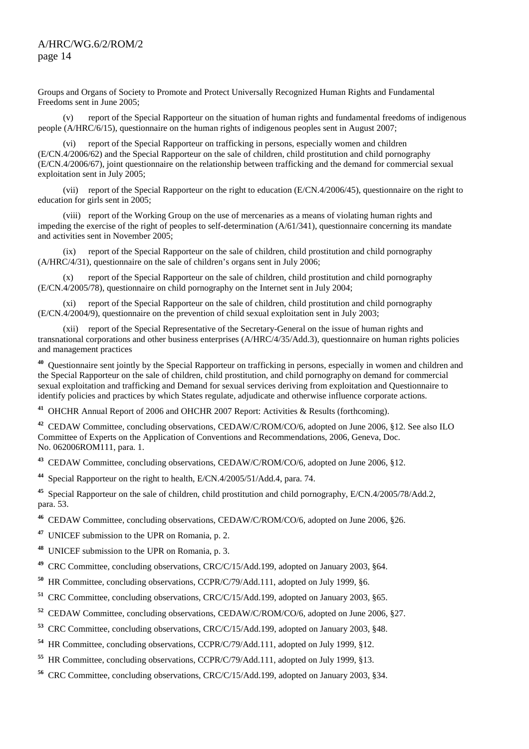Groups and Organs of Society to Promote and Protect Universally Recognized Human Rights and Fundamental Freedoms sent in June 2005;

 (v) report of the Special Rapporteur on the situation of human rights and fundamental freedoms of indigenous people (A/HRC/6/15), questionnaire on the human rights of indigenous peoples sent in August 2007;

 (vi) report of the Special Rapporteur on trafficking in persons, especially women and children (E/CN.4/2006/62) and the Special Rapporteur on the sale of children, child prostitution and child pornography (E/CN.4/2006/67), joint questionnaire on the relationship between trafficking and the demand for commercial sexual exploitation sent in July 2005;

 (vii) report of the Special Rapporteur on the right to education (E/CN.4/2006/45), questionnaire on the right to education for girls sent in 2005;

 (viii) report of the Working Group on the use of mercenaries as a means of violating human rights and impeding the exercise of the right of peoples to self-determination (A/61/341), questionnaire concerning its mandate and activities sent in November 2005;

 (ix) report of the Special Rapporteur on the sale of children, child prostitution and child pornography (A/HRC/4/31), questionnaire on the sale of children's organs sent in July 2006;

 (x) report of the Special Rapporteur on the sale of children, child prostitution and child pornography (E/CN.4/2005/78), questionnaire on child pornography on the Internet sent in July 2004;

 (xi) report of the Special Rapporteur on the sale of children, child prostitution and child pornography (E/CN.4/2004/9), questionnaire on the prevention of child sexual exploitation sent in July 2003;

 (xii) report of the Special Representative of the Secretary-General on the issue of human rights and transnational corporations and other business enterprises (A/HRC/4/35/Add.3), questionnaire on human rights policies and management practices

**<sup>40</sup>** Questionnaire sent jointly by the Special Rapporteur on trafficking in persons, especially in women and children and the Special Rapporteur on the sale of children, child prostitution, and child pornography on demand for commercial sexual exploitation and trafficking and Demand for sexual services deriving from exploitation and Questionnaire to identify policies and practices by which States regulate, adjudicate and otherwise influence corporate actions.

**<sup>41</sup>** OHCHR Annual Report of 2006 and OHCHR 2007 Report: Activities & Results (forthcoming).

**<sup>42</sup>** CEDAW Committee, concluding observations, CEDAW/C/ROM/CO/6, adopted on June 2006, §12. See also ILO Committee of Experts on the Application of Conventions and Recommendations, 2006, Geneva, Doc. No. 062006ROM111, para. 1.

**<sup>43</sup>** CEDAW Committee, concluding observations, CEDAW/C/ROM/CO/6, adopted on June 2006, §12.

**<sup>44</sup>** Special Rapporteur on the right to health, E/CN.4/2005/51/Add.4, para. 74.

**<sup>45</sup>** Special Rapporteur on the sale of children, child prostitution and child pornography, E/CN.4/2005/78/Add.2, para. 53.

**<sup>46</sup>** CEDAW Committee, concluding observations, CEDAW/C/ROM/CO/6, adopted on June 2006, §26.

**<sup>47</sup>** UNICEF submission to the UPR on Romania, p. 2.

**<sup>48</sup>** UNICEF submission to the UPR on Romania, p. 3.

**<sup>49</sup>** CRC Committee, concluding observations, CRC/C/15/Add.199, adopted on January 2003, §64.

**<sup>50</sup>** HR Committee, concluding observations, CCPR/C/79/Add.111, adopted on July 1999, §6.

**<sup>51</sup>** CRC Committee, concluding observations, CRC/C/15/Add.199, adopted on January 2003, §65.

**<sup>52</sup>** CEDAW Committee, concluding observations, CEDAW/C/ROM/CO/6, adopted on June 2006, §27.

**<sup>53</sup>** CRC Committee, concluding observations, CRC/C/15/Add.199, adopted on January 2003, §48.

**<sup>54</sup>** HR Committee, concluding observations, CCPR/C/79/Add.111, adopted on July 1999, §12.

**<sup>55</sup>** HR Committee, concluding observations, CCPR/C/79/Add.111, adopted on July 1999, §13.

**<sup>56</sup>** CRC Committee, concluding observations, CRC/C/15/Add.199, adopted on January 2003, §34.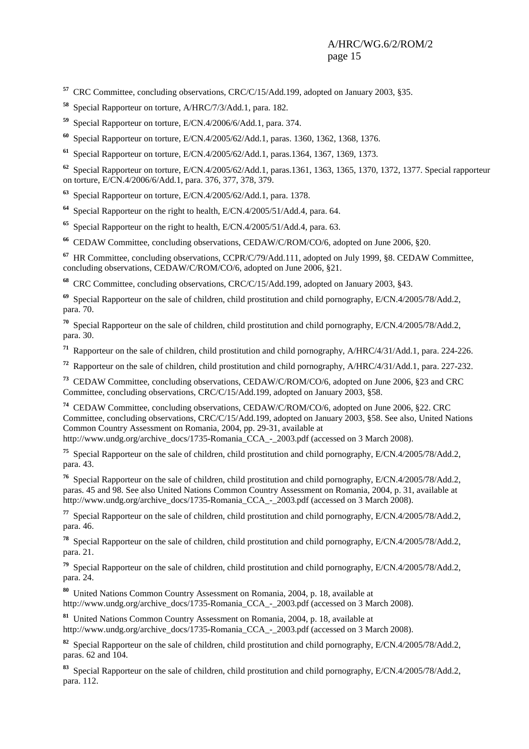**<sup>57</sup>** CRC Committee, concluding observations, CRC/C/15/Add.199, adopted on January 2003, §35.

**<sup>58</sup>** Special Rapporteur on torture, A/HRC/7/3/Add.1, para. 182.

**<sup>59</sup>** Special Rapporteur on torture, E/CN.4/2006/6/Add.1, para. 374.

**<sup>60</sup>** Special Rapporteur on torture, E/CN.4/2005/62/Add.1, paras. 1360, 1362, 1368, 1376.

**<sup>61</sup>** Special Rapporteur on torture, E/CN.4/2005/62/Add.1, paras.1364, 1367, 1369, 1373.

**<sup>62</sup>** Special Rapporteur on torture, E/CN.4/2005/62/Add.1, paras.1361, 1363, 1365, 1370, 1372, 1377. Special rapporteur on torture, E/CN.4/2006/6/Add.1, para. 376, 377, 378, 379.

**<sup>63</sup>** Special Rapporteur on torture, E/CN.4/2005/62/Add.1, para. 1378.

**<sup>64</sup>** Special Rapporteur on the right to health, E/CN.4/2005/51/Add.4, para. 64.

**<sup>65</sup>** Special Rapporteur on the right to health, E/CN.4/2005/51/Add.4, para. 63.

**<sup>66</sup>** CEDAW Committee, concluding observations, CEDAW/C/ROM/CO/6, adopted on June 2006, §20.

**<sup>67</sup>** HR Committee, concluding observations, CCPR/C/79/Add.111, adopted on July 1999, §8. CEDAW Committee, concluding observations, CEDAW/C/ROM/CO/6, adopted on June 2006, §21.

**<sup>68</sup>** CRC Committee, concluding observations, CRC/C/15/Add.199, adopted on January 2003, §43.

**<sup>69</sup>** Special Rapporteur on the sale of children, child prostitution and child pornography, E/CN.4/2005/78/Add.2, para. 70.

**<sup>70</sup>** Special Rapporteur on the sale of children, child prostitution and child pornography, E/CN.4/2005/78/Add.2, para. 30.

**<sup>71</sup>** Rapporteur on the sale of children, child prostitution and child pornography, A/HRC/4/31/Add.1, para. 224-226.

**<sup>72</sup>** Rapporteur on the sale of children, child prostitution and child pornography, A/HRC/4/31/Add.1, para. 227-232.

**<sup>73</sup>** CEDAW Committee, concluding observations, CEDAW/C/ROM/CO/6, adopted on June 2006, §23 and CRC Committee, concluding observations, CRC/C/15/Add.199, adopted on January 2003, §58.

**<sup>74</sup>** CEDAW Committee, concluding observations, CEDAW/C/ROM/CO/6, adopted on June 2006, §22. CRC Committee, concluding observations, CRC/C/15/Add.199, adopted on January 2003, §58. See also, United Nations Common Country Assessment on Romania, 2004, pp. 29-31, available at

http://www.undg.org/archive\_docs/1735-Romania\_CCA\_-\_2003.pdf (accessed on 3 March 2008).

**<sup>75</sup>** Special Rapporteur on the sale of children, child prostitution and child pornography, E/CN.4/2005/78/Add.2, para. 43.

**<sup>76</sup>** Special Rapporteur on the sale of children, child prostitution and child pornography, E/CN.4/2005/78/Add.2, paras. 45 and 98. See also United Nations Common Country Assessment on Romania, 2004, p. 31, available at http://www.undg.org/archive\_docs/1735-Romania\_CCA\_-\_2003.pdf (accessed on 3 March 2008).

**<sup>77</sup>** Special Rapporteur on the sale of children, child prostitution and child pornography, E/CN.4/2005/78/Add.2, para. 46.

**<sup>78</sup>** Special Rapporteur on the sale of children, child prostitution and child pornography, E/CN.4/2005/78/Add.2, para. 21.

**<sup>79</sup>** Special Rapporteur on the sale of children, child prostitution and child pornography, E/CN.4/2005/78/Add.2, para. 24.

**<sup>80</sup>** United Nations Common Country Assessment on Romania, 2004, p. 18, available at http://www.undg.org/archive\_docs/1735-Romania\_CCA\_-\_2003.pdf (accessed on 3 March 2008).

**<sup>81</sup>** United Nations Common Country Assessment on Romania, 2004, p. 18, available at http://www.undg.org/archive\_docs/1735-Romania\_CCA\_-\_2003.pdf (accessed on 3 March 2008).

**<sup>82</sup>** Special Rapporteur on the sale of children, child prostitution and child pornography, E/CN.4/2005/78/Add.2, paras. 62 and 104.

**<sup>83</sup>** Special Rapporteur on the sale of children, child prostitution and child pornography, E/CN.4/2005/78/Add.2, para. 112.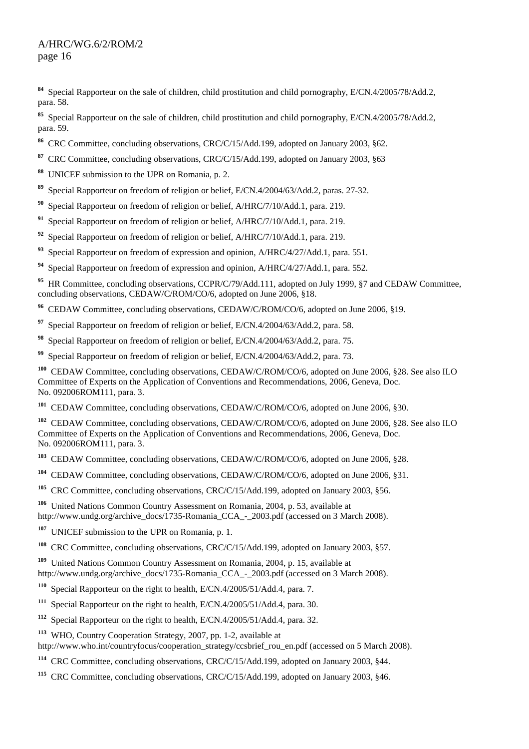**<sup>84</sup>** Special Rapporteur on the sale of children, child prostitution and child pornography, E/CN.4/2005/78/Add.2, para. 58.

**<sup>85</sup>** Special Rapporteur on the sale of children, child prostitution and child pornography, E/CN.4/2005/78/Add.2, para. 59.

- **<sup>86</sup>** CRC Committee, concluding observations, CRC/C/15/Add.199, adopted on January 2003, §62.
- **<sup>87</sup>** CRC Committee, concluding observations, CRC/C/15/Add.199, adopted on January 2003, §63
- **<sup>88</sup>** UNICEF submission to the UPR on Romania, p. 2.
- **<sup>89</sup>** Special Rapporteur on freedom of religion or belief, E/CN.4/2004/63/Add.2, paras. 27-32.
- **<sup>90</sup>** Special Rapporteur on freedom of religion or belief, A/HRC/7/10/Add.1, para. 219.
- **<sup>91</sup>** Special Rapporteur on freedom of religion or belief, A/HRC/7/10/Add.1, para. 219.
- **<sup>92</sup>** Special Rapporteur on freedom of religion or belief, A/HRC/7/10/Add.1, para. 219.
- **<sup>93</sup>** Special Rapporteur on freedom of expression and opinion, A/HRC/4/27/Add.1, para. 551.
- **<sup>94</sup>** Special Rapporteur on freedom of expression and opinion, A/HRC/4/27/Add.1, para. 552.

<sup>95</sup> HR Committee, concluding observations, CCPR/C/79/Add.111, adopted on July 1999, §7 and CEDAW Committee, concluding observations, CEDAW/C/ROM/CO/6, adopted on June 2006, §18.

- **<sup>96</sup>** CEDAW Committee, concluding observations, CEDAW/C/ROM/CO/6, adopted on June 2006, §19.
- **<sup>97</sup>** Special Rapporteur on freedom of religion or belief, E/CN.4/2004/63/Add.2, para. 58.
- **<sup>98</sup>** Special Rapporteur on freedom of religion or belief, E/CN.4/2004/63/Add.2, para. 75.
- **<sup>99</sup>** Special Rapporteur on freedom of religion or belief, E/CN.4/2004/63/Add.2, para. 73.

<sup>100</sup> CEDAW Committee, concluding observations, CEDAW/C/ROM/CO/6, adopted on June 2006, §28. See also ILO Committee of Experts on the Application of Conventions and Recommendations, 2006, Geneva, Doc. No. 092006ROM111, para. 3.

<sup>101</sup> CEDAW Committee, concluding observations, CEDAW/C/ROM/CO/6, adopted on June 2006, §30.

<sup>102</sup> CEDAW Committee, concluding observations, CEDAW/C/ROM/CO/6, adopted on June 2006, §28. See also ILO Committee of Experts on the Application of Conventions and Recommendations, 2006, Geneva, Doc. No. 092006ROM111, para. 3.

**<sup>103</sup>** CEDAW Committee, concluding observations, CEDAW/C/ROM/CO/6, adopted on June 2006, §28.

- **<sup>104</sup>** CEDAW Committee, concluding observations, CEDAW/C/ROM/CO/6, adopted on June 2006, §31.
- **<sup>105</sup>** CRC Committee, concluding observations, CRC/C/15/Add.199, adopted on January 2003, §56.
- **<sup>106</sup>** United Nations Common Country Assessment on Romania, 2004, p. 53, available at http://www.undg.org/archive\_docs/1735-Romania\_CCA\_-\_2003.pdf (accessed on 3 March 2008).
- **<sup>107</sup>** UNICEF submission to the UPR on Romania, p. 1.
- <sup>108</sup> CRC Committee, concluding observations, CRC/C/15/Add.199, adopted on January 2003, §57.

**<sup>109</sup>** United Nations Common Country Assessment on Romania, 2004, p. 15, available at http://www.undg.org/archive\_docs/1735-Romania\_CCA\_-\_2003.pdf (accessed on 3 March 2008).

**<sup>110</sup>** Special Rapporteur on the right to health, E/CN.4/2005/51/Add.4, para. 7.

- Special Rapporteur on the right to health, E/CN.4/2005/51/Add.4, para. 30.
- **<sup>112</sup>** Special Rapporteur on the right to health, E/CN.4/2005/51/Add.4, para. 32.
- **<sup>113</sup>** WHO, Country Cooperation Strategy, 2007, pp. 1-2, available at

http://www.who.int/countryfocus/cooperation\_strategy/ccsbrief\_rou\_en.pdf (accessed on 5 March 2008).

- **<sup>114</sup>** CRC Committee, concluding observations, CRC/C/15/Add.199, adopted on January 2003, §44.
- **<sup>115</sup>** CRC Committee, concluding observations, CRC/C/15/Add.199, adopted on January 2003, §46.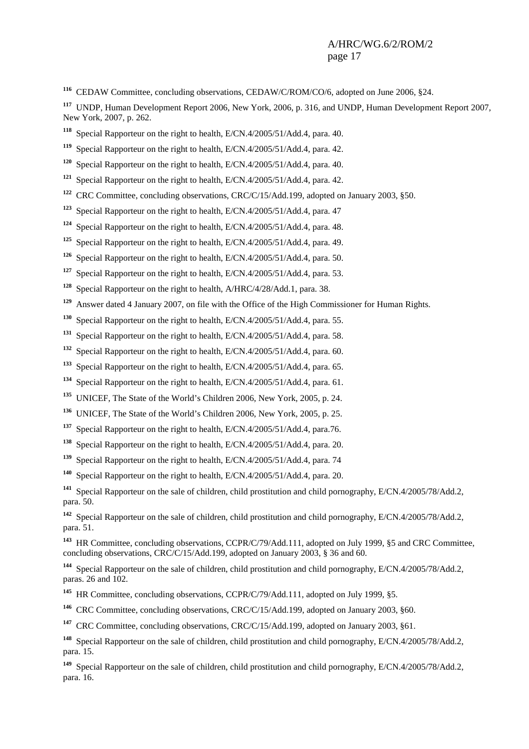CEDAW Committee, concluding observations, CEDAW/C/ROM/CO/6, adopted on June 2006, §24.

 UNDP, Human Development Report 2006, New York, 2006, p. 316, and UNDP, Human Development Report 2007, New York, 2007, p. 262.

Special Rapporteur on the right to health, E/CN.4/2005/51/Add.4, para. 40.

Special Rapporteur on the right to health, E/CN.4/2005/51/Add.4, para. 42.

Special Rapporteur on the right to health, E/CN.4/2005/51/Add.4, para. 40.

Special Rapporteur on the right to health, E/CN.4/2005/51/Add.4, para. 42.

CRC Committee, concluding observations, CRC/C/15/Add.199, adopted on January 2003, §50.

Special Rapporteur on the right to health, E/CN.4/2005/51/Add.4, para. 47

Special Rapporteur on the right to health, E/CN.4/2005/51/Add.4, para. 48.

Special Rapporteur on the right to health, E/CN.4/2005/51/Add.4, para. 49.

Special Rapporteur on the right to health, E/CN.4/2005/51/Add.4, para. 50.

Special Rapporteur on the right to health, E/CN.4/2005/51/Add.4, para. 53.

Special Rapporteur on the right to health, A/HRC/4/28/Add.1, para. 38.

Answer dated 4 January 2007, on file with the Office of the High Commissioner for Human Rights.

Special Rapporteur on the right to health, E/CN.4/2005/51/Add.4, para. 55.

Special Rapporteur on the right to health, E/CN.4/2005/51/Add.4, para. 58.

Special Rapporteur on the right to health, E/CN.4/2005/51/Add.4, para. 60.

Special Rapporteur on the right to health, E/CN.4/2005/51/Add.4, para. 65.

Special Rapporteur on the right to health, E/CN.4/2005/51/Add.4, para. 61.

UNICEF, The State of the World's Children 2006, New York, 2005, p. 24.

UNICEF, The State of the World's Children 2006, New York, 2005, p. 25.

Special Rapporteur on the right to health, E/CN.4/2005/51/Add.4, para.76.

Special Rapporteur on the right to health, E/CN.4/2005/51/Add.4, para. 20.

Special Rapporteur on the right to health, E/CN.4/2005/51/Add.4, para. 74

Special Rapporteur on the right to health, E/CN.4/2005/51/Add.4, para. 20.

 Special Rapporteur on the sale of children, child prostitution and child pornography, E/CN.4/2005/78/Add.2, para. 50.

 Special Rapporteur on the sale of children, child prostitution and child pornography, E/CN.4/2005/78/Add.2, para. 51.

 HR Committee, concluding observations, CCPR/C/79/Add.111, adopted on July 1999, §5 and CRC Committee, concluding observations, CRC/C/15/Add.199, adopted on January 2003, § 36 and 60.

 Special Rapporteur on the sale of children, child prostitution and child pornography, E/CN.4/2005/78/Add.2, paras. 26 and 102.

<sup>145</sup> HR Committee, concluding observations, CCPR/C/79/Add.111, adopted on July 1999, §5.

CRC Committee, concluding observations, CRC/C/15/Add.199, adopted on January 2003, §60.

<sup>147</sup> CRC Committee, concluding observations, CRC/C/15/Add.199, adopted on January 2003, §61.

 Special Rapporteur on the sale of children, child prostitution and child pornography, E/CN.4/2005/78/Add.2, para. 15.

 Special Rapporteur on the sale of children, child prostitution and child pornography, E/CN.4/2005/78/Add.2, para. 16.